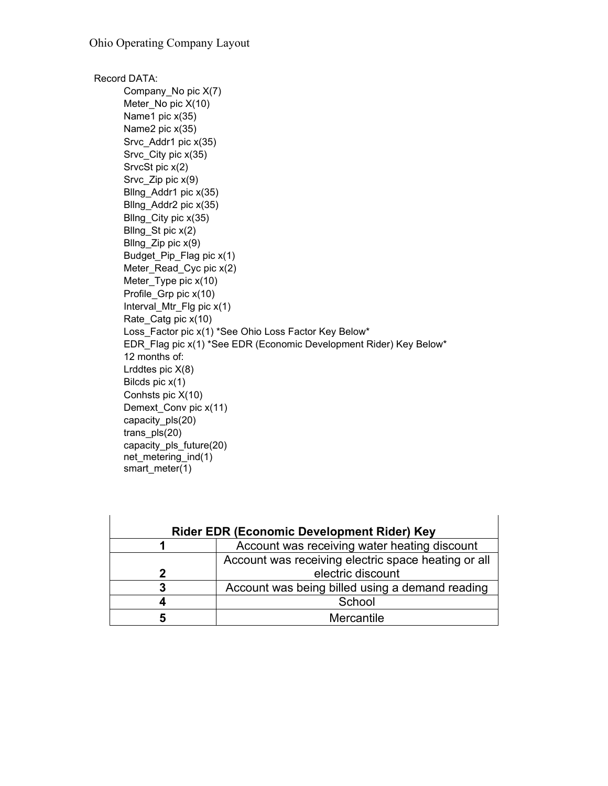Record DATA: Company\_No pic X(7) Meter\_No pic X(10) Name1 pic x(35) Name2 pic x(35) Srvc\_Addr1 pic x(35) Srvc\_City pic x(35) SrvcSt pic x(2) Srvc\_Zip pic x(9) Bllng\_Addr1 pic x(35) Bllng\_Addr2 pic x(35) Bllng\_City pic x(35) Bllng\_St pic x(2) Bllng  $Zip$  pic  $x(9)$ Budget\_Pip\_Flag pic x(1) Meter\_Read\_Cyc pic x(2) Meter\_Type pic x(10) Profile\_Grp pic x(10) Interval\_Mtr\_Flg pic x(1) Rate Catg pic x(10) Loss\_Factor pic x(1) \*See Ohio Loss Factor Key Below\* EDR\_Flag pic x(1) \*See EDR (Economic Development Rider) Key Below\* 12 months of: Lrddtes pic X(8) Bilcds pic x(1) Conhsts pic X(10) Demext\_Conv pic x(11) capacity\_pls(20) trans\_pls(20) capacity\_pls\_future(20) net\_metering\_ind(1) smart\_meter(1)

| <b>Rider EDR (Economic Development Rider) Key</b> |                                                     |  |
|---------------------------------------------------|-----------------------------------------------------|--|
|                                                   | Account was receiving water heating discount        |  |
|                                                   | Account was receiving electric space heating or all |  |
| 2                                                 | electric discount                                   |  |
| 3                                                 | Account was being billed using a demand reading     |  |
|                                                   | School                                              |  |
| 5                                                 | Mercantile                                          |  |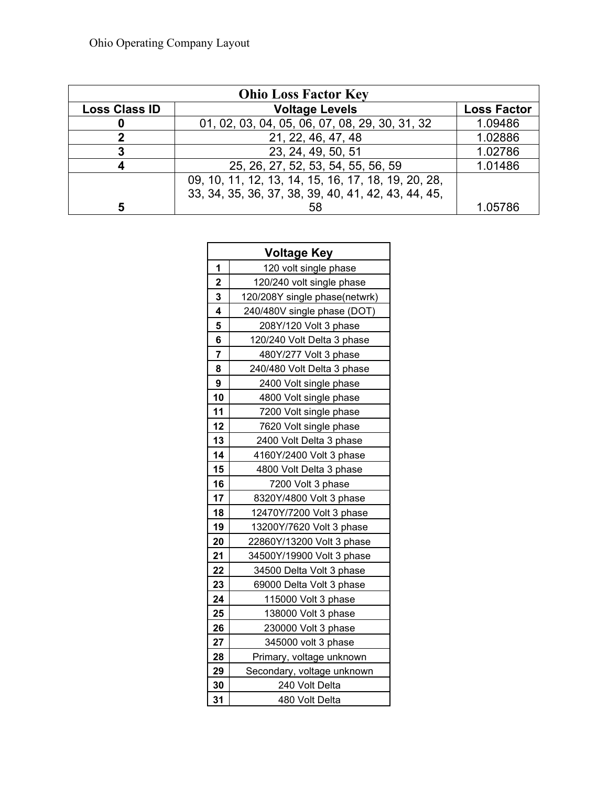| <b>Ohio Loss Factor Key</b> |                                                     |                    |  |
|-----------------------------|-----------------------------------------------------|--------------------|--|
| <b>Loss Class ID</b>        | <b>Voltage Levels</b>                               | <b>Loss Factor</b> |  |
| O                           | 01, 02, 03, 04, 05, 06, 07, 08, 29, 30, 31, 32      | 1.09486            |  |
| 2                           | 21, 22, 46, 47, 48                                  | 1.02886            |  |
| 3                           | 23, 24, 49, 50, 51                                  | 1.02786            |  |
| 4                           | 25, 26, 27, 52, 53, 54, 55, 56, 59                  | 1.01486            |  |
|                             | 09, 10, 11, 12, 13, 14, 15, 16, 17, 18, 19, 20, 28, |                    |  |
|                             | 33, 34, 35, 36, 37, 38, 39, 40, 41, 42, 43, 44, 45, |                    |  |
| 5                           | 58                                                  | 1.05786            |  |

| <b>Voltage Key</b> |                               |  |
|--------------------|-------------------------------|--|
| 1                  | 120 volt single phase         |  |
| $\overline{2}$     | 120/240 volt single phase     |  |
| 3                  | 120/208Y single phase(netwrk) |  |
| 4                  | 240/480V single phase (DOT)   |  |
| 5                  | 208Y/120 Volt 3 phase         |  |
| 6                  | 120/240 Volt Delta 3 phase    |  |
| 7                  | 480Y/277 Volt 3 phase         |  |
| 8                  | 240/480 Volt Delta 3 phase    |  |
| 9                  | 2400 Volt single phase        |  |
| 10                 | 4800 Volt single phase        |  |
| 11                 | 7200 Volt single phase        |  |
| 12                 | 7620 Volt single phase        |  |
| 13                 | 2400 Volt Delta 3 phase       |  |
| 14                 | 4160Y/2400 Volt 3 phase       |  |
| 15                 | 4800 Volt Delta 3 phase       |  |
| 16                 | 7200 Volt 3 phase             |  |
| 17                 | 8320Y/4800 Volt 3 phase       |  |
| 18                 | 12470Y/7200 Volt 3 phase      |  |
| 19                 | 13200Y/7620 Volt 3 phase      |  |
| 20                 | 22860Y/13200 Volt 3 phase     |  |
| 21                 | 34500Y/19900 Volt 3 phase     |  |
| 22                 | 34500 Delta Volt 3 phase      |  |
| 23                 | 69000 Delta Volt 3 phase      |  |
| 24                 | 115000 Volt 3 phase           |  |
| 25                 | 138000 Volt 3 phase           |  |
| 26                 | 230000 Volt 3 phase           |  |
| 27                 | 345000 volt 3 phase           |  |
| 28                 | Primary, voltage unknown      |  |
| 29                 | Secondary, voltage unknown    |  |
| 30                 | 240 Volt Delta                |  |
| 31                 | 480 Volt Delta                |  |